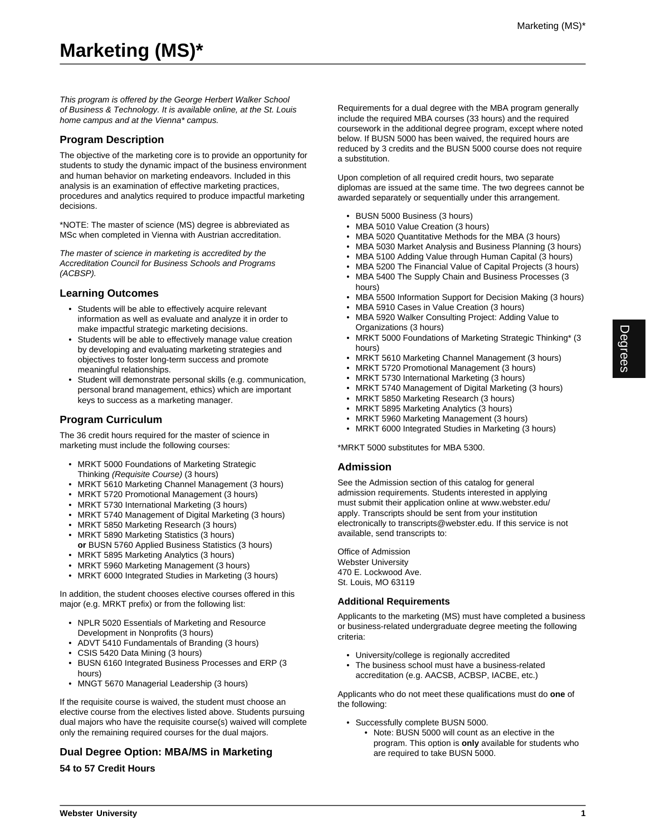This program is offered by the George Herbert Walker School of Business & Technology. It is available online, at the St. Louis home campus and at the Vienna\* campus.

## **Program Description**

The objective of the marketing core is to provide an opportunity for students to study the dynamic impact of the business environment and human behavior on marketing endeavors. Included in this analysis is an examination of effective marketing practices, procedures and analytics required to produce impactful marketing decisions.

\*NOTE: The master of science (MS) degree is abbreviated as MSc when completed in Vienna with Austrian accreditation.

The master of science in marketing is accredited by the Accreditation Council for Business Schools and Programs (ACBSP).

#### **Learning Outcomes**

- Students will be able to effectively acquire relevant information as well as evaluate and analyze it in order to make impactful strategic marketing decisions.
- Students will be able to effectively manage value creation by developing and evaluating marketing strategies and objectives to foster long-term success and promote meaningful relationships.
- Student will demonstrate personal skills (e.g. communication, personal brand management, ethics) which are important keys to success as a marketing manager.

## **Program Curriculum**

The 36 credit hours required for the master of science in marketing must include the following courses:

- MRKT 5000 Foundations of Marketing Strategic Thinking (Requisite Course) (3 hours)
- MRKT 5610 Marketing Channel Management (3 hours)
- MRKT 5720 Promotional Management (3 hours)
- MRKT 5730 International Marketing (3 hours)
- MRKT 5740 Management of Digital Marketing (3 hours)
- MRKT 5850 Marketing Research (3 hours)
- MRKT 5890 Marketing Statistics (3 hours)
- **or** BUSN 5760 Applied Business Statistics (3 hours) • MRKT 5895 Marketing Analytics (3 hours)
- MRKT 5960 Marketing Management (3 hours)
- MRKT 6000 Integrated Studies in Marketing (3 hours)

In addition, the student chooses elective courses offered in this major (e.g. MRKT prefix) or from the following list:

- NPLR 5020 Essentials of Marketing and Resource Development in Nonprofits (3 hours)
- ADVT 5410 Fundamentals of Branding (3 hours)
- CSIS 5420 Data Mining (3 hours)
- BUSN 6160 Integrated Business Processes and ERP (3 hours)
- MNGT 5670 Managerial Leadership (3 hours)

If the requisite course is waived, the student must choose an elective course from the electives listed above. Students pursuing dual majors who have the requisite course(s) waived will complete only the remaining required courses for the dual majors.

## **Dual Degree Option: MBA/MS in Marketing**

#### **54 to 57 Credit Hours**

Requirements for a dual degree with the MBA program generally include the required MBA courses (33 hours) and the required coursework in the additional degree program, except where noted below. If BUSN 5000 has been waived, the required hours are reduced by 3 credits and the BUSN 5000 course does not require a substitution.

Upon completion of all required credit hours, two separate diplomas are issued at the same time. The two degrees cannot be awarded separately or sequentially under this arrangement.

- BUSN 5000 Business (3 hours)
- MBA 5010 Value Creation (3 hours)
- MBA 5020 Quantitative Methods for the MBA (3 hours)
- MBA 5030 Market Analysis and Business Planning (3 hours)
- MBA 5100 Adding Value through Human Capital (3 hours)
- MBA 5200 The Financial Value of Capital Projects (3 hours)
- MBA 5400 The Supply Chain and Business Processes (3 hours)
- MBA 5500 Information Support for Decision Making (3 hours)
- MBA 5910 Cases in Value Creation (3 hours) • MBA 5920 Walker Consulting Project: Adding Value to
- Organizations (3 hours) • MRKT 5000 Foundations of Marketing Strategic Thinking\* (3 hours)
- MRKT 5610 Marketing Channel Management (3 hours)
- MRKT 5720 Promotional Management (3 hours)
- MRKT 5730 International Marketing (3 hours)
- MRKT 5740 Management of Digital Marketing (3 hours)
- MRKT 5850 Marketing Research (3 hours)
- MRKT 5895 Marketing Analytics (3 hours)
- MRKT 5960 Marketing Management (3 hours)
- MRKT 6000 Integrated Studies in Marketing (3 hours)

#### \*MRKT 5000 substitutes for MBA 5300.

### **Admission**

See the Admission section of this catalog for general admission requirements. Students interested in applying must submit their application online at www.webster.edu/ apply. Transcripts should be sent from your institution electronically to transcripts@webster.edu. If this service is not available, send transcripts to:

Office of Admission Webster University 470 E. Lockwood Ave. St. Louis, MO 63119

#### **Additional Requirements**

Applicants to the marketing (MS) must have completed a business or business-related undergraduate degree meeting the following criteria:

- University/college is regionally accredited
- The business school must have a business-related accreditation (e.g. AACSB, ACBSP, IACBE, etc.)

Applicants who do not meet these qualifications must do **one** of the following:

- Successfully complete BUSN 5000.
	- Note: BUSN 5000 will count as an elective in the program. This option is **only** available for students who are required to take BUSN 5000.